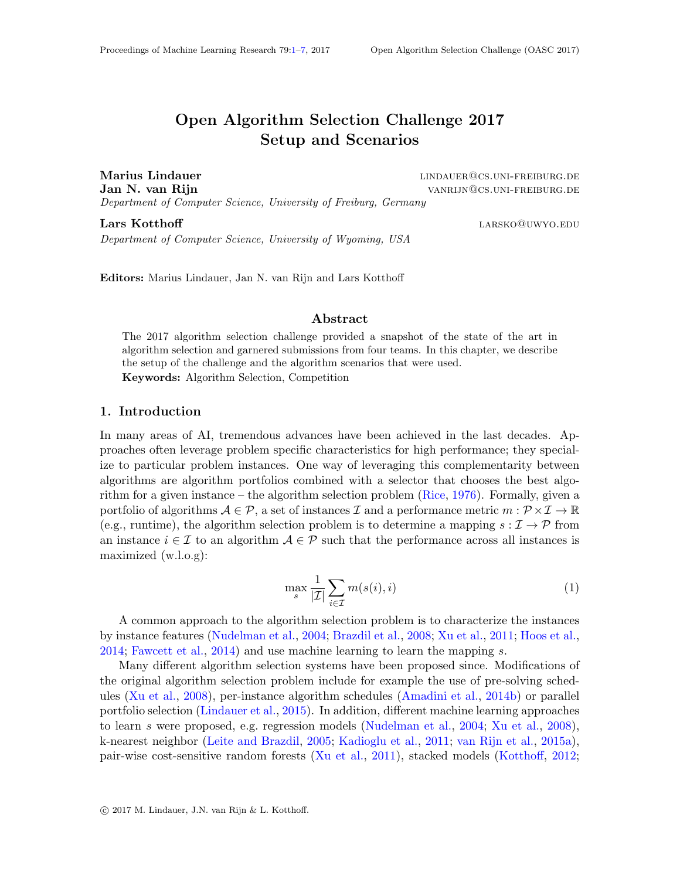# Open Algorithm Selection Challenge 2017 Setup and Scenarios

<span id="page-0-0"></span>Marius Lindauer linds and the line of the lind and the lind and the lind and the line of the line of the line o Jan N. van Rijn van van die 19de eeu n.C. van die 19de eeu n.C. van die 19de eeu n.C. van die 19de eeu n.C. van die 19de eeu n.C. van die 19de eeu n.C. van die 19de eeu n.C. van die 19de eeu n.C. van die 19de eeu n.C. van Department of Computer Science, University of Freiburg, Germany

**Lars Kotthoff** and the contract of the contract of the contract of the contract of the contract of the contract of the contract of the contract of the contract of the contract of the contract of the contract of the contra Department of Computer Science, University of Wyoming, USA

Editors: Marius Lindauer, Jan N. van Rijn and Lars Kotthoff

#### Abstract

The 2017 algorithm selection challenge provided a snapshot of the state of the art in algorithm selection and garnered submissions from four teams. In this chapter, we describe the setup of the challenge and the algorithm scenarios that were used. Keywords: Algorithm Selection, Competition

## 1. Introduction

In many areas of AI, tremendous advances have been achieved in the last decades. Approaches often leverage problem specific characteristics for high performance; they specialize to particular problem instances. One way of leveraging this complementarity between algorithms are algorithm portfolios combined with a selector that chooses the best algorithm for a given instance – the algorithm selection problem [\(Rice,](#page-5-0) [1976\)](#page-5-0). Formally, given a portfolio of algorithms  $A \in \mathcal{P}$ , a set of instances  $\mathcal{I}$  and a performance metric  $m : \mathcal{P} \times \mathcal{I} \to \mathbb{R}$ (e.g., runtime), the algorithm selection problem is to determine a mapping  $s : \mathcal{I} \to \mathcal{P}$  from an instance  $i \in \mathcal{I}$  to an algorithm  $\mathcal{A} \in \mathcal{P}$  such that the performance across all instances is maximized (w.l.o.g):

$$
\max_{s} \frac{1}{|\mathcal{I}|} \sum_{i \in \mathcal{I}} m(s(i), i)
$$
 (1)

A common approach to the algorithm selection problem is to characterize the instances by instance features [\(Nudelman et al.,](#page-5-1) [2004;](#page-5-1) [Brazdil et al.,](#page-4-0) [2008;](#page-4-0) [Xu et al.,](#page-6-1) [2011;](#page-6-1) [Hoos et al.,](#page-4-1) [2014;](#page-4-1) [Fawcett et al.,](#page-4-2) [2014\)](#page-4-2) and use machine learning to learn the mapping s.

Many different algorithm selection systems have been proposed since. Modifications of the original algorithm selection problem include for example the use of pre-solving schedules [\(Xu et al.,](#page-6-2) [2008\)](#page-6-2), per-instance algorithm schedules [\(Amadini et al.,](#page-3-0) [2014b\)](#page-3-0) or parallel portfolio selection [\(Lindauer et al.,](#page-5-2) [2015\)](#page-5-2). In addition, different machine learning approaches to learn s were proposed, e.g. regression models [\(Nudelman et al.,](#page-5-1) [2004;](#page-5-1) [Xu et al.,](#page-6-2) [2008\)](#page-6-2), k-nearest neighbor [\(Leite and Brazdil,](#page-4-3) [2005;](#page-4-3) [Kadioglu et al.,](#page-4-4) [2011;](#page-4-4) [van Rijn et al.,](#page-5-3) [2015a\)](#page-5-3), pair-wise cost-sensitive random forests [\(Xu et al.,](#page-6-1) [2011\)](#page-6-1), stacked models [\(Kotthoff,](#page-4-5) [2012;](#page-4-5)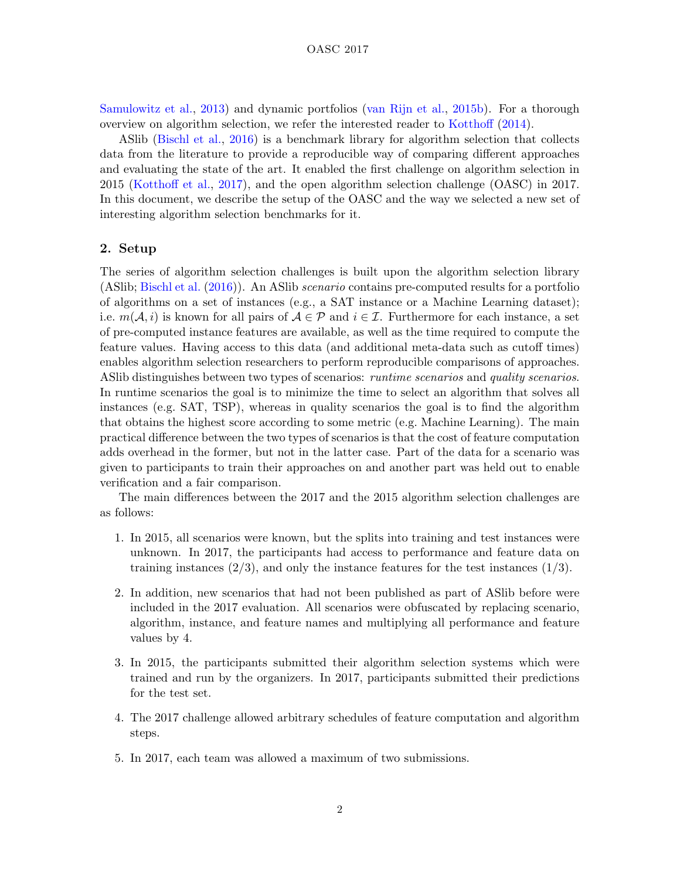[Samulowitz et al.,](#page-5-4) [2013\)](#page-5-4) and dynamic portfolios [\(van Rijn et al.,](#page-5-5) [2015b\)](#page-5-5). For a thorough overview on algorithm selection, we refer the interested reader to [Kotthoff](#page-4-6) [\(2014\)](#page-4-6).

ASlib [\(Bischl et al.,](#page-4-7) [2016\)](#page-4-7) is a benchmark library for algorithm selection that collects data from the literature to provide a reproducible way of comparing different approaches and evaluating the state of the art. It enabled the first challenge on algorithm selection in 2015 [\(Kotthoff et al.,](#page-4-8) [2017\)](#page-4-8), and the open algorithm selection challenge (OASC) in 2017. In this document, we describe the setup of the OASC and the way we selected a new set of interesting algorithm selection benchmarks for it.

## 2. Setup

The series of algorithm selection challenges is built upon the algorithm selection library (ASlib; [Bischl et al.](#page-4-7) [\(2016\)](#page-4-7)). An ASlib scenario contains pre-computed results for a portfolio of algorithms on a set of instances (e.g., a SAT instance or a Machine Learning dataset); i.e.  $m(\mathcal{A}, i)$  is known for all pairs of  $\mathcal{A} \in \mathcal{P}$  and  $i \in \mathcal{I}$ . Furthermore for each instance, a set of pre-computed instance features are available, as well as the time required to compute the feature values. Having access to this data (and additional meta-data such as cutoff times) enables algorithm selection researchers to perform reproducible comparisons of approaches. ASI is distinguishes between two types of scenarios: *runtime scenarios* and *quality scenarios*. In runtime scenarios the goal is to minimize the time to select an algorithm that solves all instances (e.g. SAT, TSP), whereas in quality scenarios the goal is to find the algorithm that obtains the highest score according to some metric (e.g. Machine Learning). The main practical difference between the two types of scenarios is that the cost of feature computation adds overhead in the former, but not in the latter case. Part of the data for a scenario was given to participants to train their approaches on and another part was held out to enable verification and a fair comparison.

The main differences between the 2017 and the 2015 algorithm selection challenges are as follows:

- 1. In 2015, all scenarios were known, but the splits into training and test instances were unknown. In 2017, the participants had access to performance and feature data on training instances  $(2/3)$ , and only the instance features for the test instances  $(1/3)$ .
- 2. In addition, new scenarios that had not been published as part of ASlib before were included in the 2017 evaluation. All scenarios were obfuscated by replacing scenario, algorithm, instance, and feature names and multiplying all performance and feature values by 4.
- 3. In 2015, the participants submitted their algorithm selection systems which were trained and run by the organizers. In 2017, participants submitted their predictions for the test set.
- 4. The 2017 challenge allowed arbitrary schedules of feature computation and algorithm steps.
- 5. In 2017, each team was allowed a maximum of two submissions.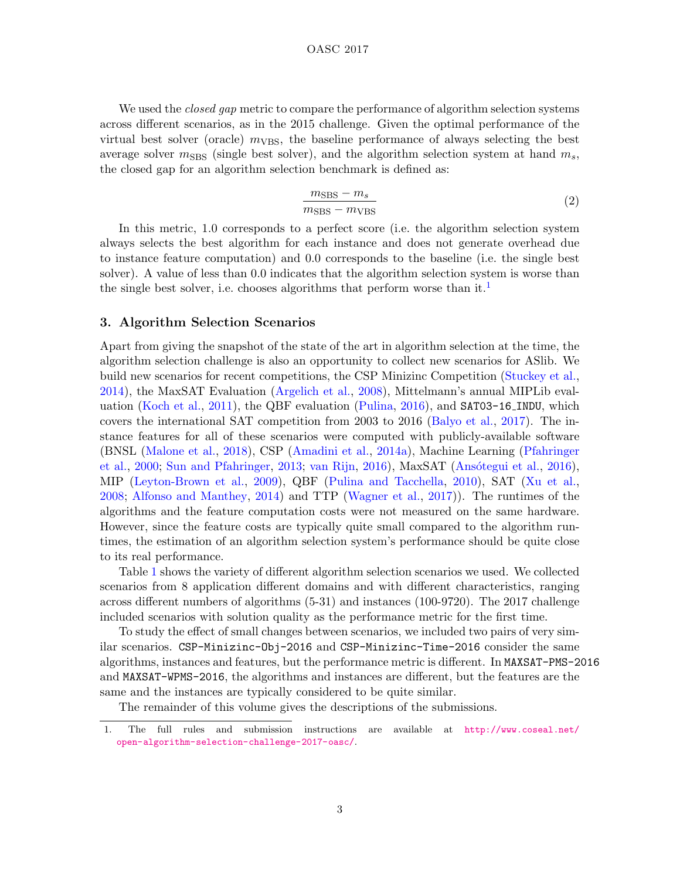#### OASC 2017

We used the *closed gap* metric to compare the performance of algorithm selection systems across different scenarios, as in the 2015 challenge. Given the optimal performance of the virtual best solver (oracle)  $m_{VBS}$ , the baseline performance of always selecting the best average solver  $m_{\text{SBS}}$  (single best solver), and the algorithm selection system at hand  $m_s$ , the closed gap for an algorithm selection benchmark is defined as:

$$
\frac{m_{\rm SBS} - m_s}{m_{\rm SBS} - m_{\rm VBS}}\tag{2}
$$

In this metric, 1.0 corresponds to a perfect score (i.e. the algorithm selection system always selects the best algorithm for each instance and does not generate overhead due to instance feature computation) and 0.0 corresponds to the baseline (i.e. the single best solver). A value of less than 0.0 indicates that the algorithm selection system is worse than the single best solver, i.e. chooses algorithms that perform worse than it.<sup>[1](#page-2-0)</sup>

## 3. Algorithm Selection Scenarios

Apart from giving the snapshot of the state of the art in algorithm selection at the time, the algorithm selection challenge is also an opportunity to collect new scenarios for ASlib. We build new scenarios for recent competitions, the CSP Minizinc Competition [\(Stuckey et al.,](#page-5-6) [2014\)](#page-5-6), the MaxSAT Evaluation [\(Argelich et al.,](#page-4-9) [2008\)](#page-4-9), Mittelmann's annual MIPLib evaluation [\(Koch et al.,](#page-4-10) [2011\)](#page-4-10), the QBF evaluation [\(Pulina,](#page-5-7) [2016\)](#page-5-7), and SAT03-16 INDU, which covers the international SAT competition from 2003 to 2016 [\(Balyo et al.,](#page-4-11) [2017\)](#page-4-11). The instance features for all of these scenarios were computed with publicly-available software (BNSL [\(Malone et al.,](#page-5-8) [2018\)](#page-5-8), CSP [\(Amadini et al.,](#page-3-1) [2014a\)](#page-3-1), Machine Learning [\(Pfahringer](#page-5-9) [et al.,](#page-5-9) [2000;](#page-5-9) [Sun and Pfahringer,](#page-5-10) [2013;](#page-5-10) [van Rijn,](#page-5-11) [2016\)](#page-3-2), MaxSAT (Ansótegui et al., 2016), MIP [\(Leyton-Brown et al.,](#page-4-12) [2009\)](#page-4-12), QBF [\(Pulina and Tacchella,](#page-5-12) [2010\)](#page-5-12), SAT [\(Xu et al.,](#page-6-2) [2008;](#page-6-2) [Alfonso and Manthey,](#page-3-3) [2014\)](#page-3-3) and TTP [\(Wagner et al.,](#page-6-3) [2017\)](#page-6-3)). The runtimes of the algorithms and the feature computation costs were not measured on the same hardware. However, since the feature costs are typically quite small compared to the algorithm runtimes, the estimation of an algorithm selection system's performance should be quite close to its real performance.

Table [1](#page-3-4) shows the variety of different algorithm selection scenarios we used. We collected scenarios from 8 application different domains and with different characteristics, ranging across different numbers of algorithms (5-31) and instances (100-9720). The 2017 challenge included scenarios with solution quality as the performance metric for the first time.

To study the effect of small changes between scenarios, we included two pairs of very similar scenarios. CSP-Minizinc-Obj-2016 and CSP-Minizinc-Time-2016 consider the same algorithms, instances and features, but the performance metric is different. In MAXSAT-PMS-2016 and MAXSAT-WPMS-2016, the algorithms and instances are different, but the features are the same and the instances are typically considered to be quite similar.

The remainder of this volume gives the descriptions of the submissions.

<span id="page-2-0"></span><sup>1.</sup> The full rules and submission instructions are available at [http://www.coseal.net/](http://www.coseal.net/open-algorithm-selection-challenge-2017-oasc/) [open-algorithm-selection-challenge-2017-oasc/](http://www.coseal.net/open-algorithm-selection-challenge-2017-oasc/).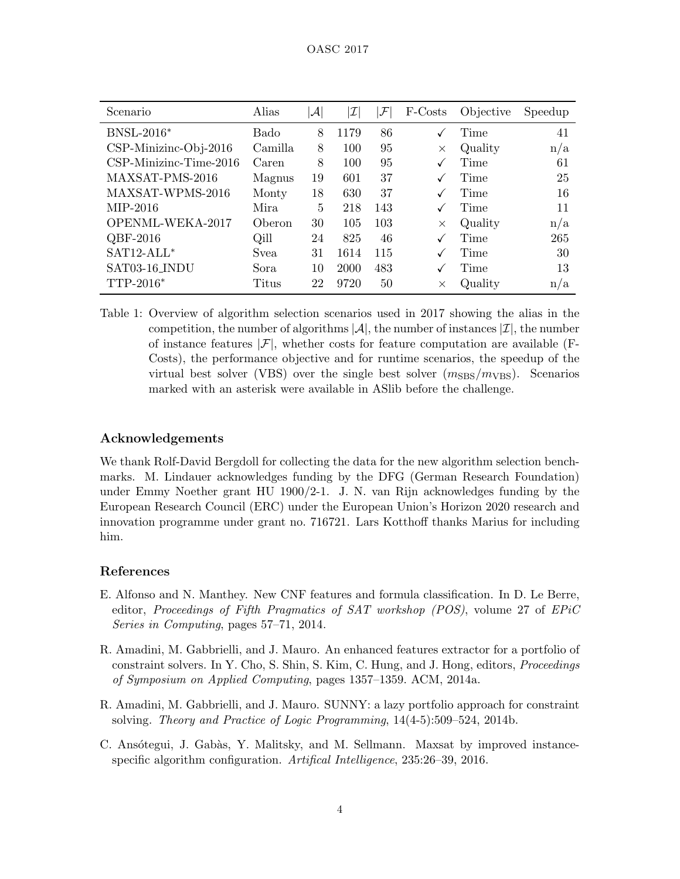| Scenario                 | Alias         | $ \mathcal{A} $ | $\mathcal I$ | ${\cal F}$ | F-Costs  | Objective | Speedup |
|--------------------------|---------------|-----------------|--------------|------------|----------|-----------|---------|
| <b>BNSL-2016*</b>        | Bado          | 8               | 1179         | 86         |          | Time      | 41      |
| $CSP-Minizinc-Obj-2016$  | Camilla       | 8               | 100          | 95         | $\times$ | Quality   | n/a     |
| $CSP-Minizinc-Time-2016$ | Caren         | 8               | 100          | 95         |          | Time      | 61      |
| MAXSAT-PMS-2016          | Magnus        | 19              | 601          | 37         |          | Time      | 25      |
| MAXSAT-WPMS-2016         | Monty         | 18              | 630          | 37         |          | Time      | 16      |
| MIP-2016                 | <b>Mira</b>   | 5               | 218          | 143        |          | Time      | 11      |
| OPENML-WEKA-2017         | <b>Oberon</b> | 30              | 105          | 103        | $\times$ | Quality   | n/a     |
| $QBF-2016$               | Qill          | 24              | 825          | 46         |          | Time      | 265     |
| $SAT12-ALL*$             | <b>Svea</b>   | 31              | 1614         | 115        |          | Time      | 30      |
| SAT03-16_INDU            | Sora          | 10              | 2000         | 483        |          | Time      | 13      |
| $TTP-2016*$              | Titus         | 22              | 9720         | 50         | X        | Quality   | n/a     |

<span id="page-3-4"></span>Table 1: Overview of algorithm selection scenarios used in 2017 showing the alias in the competition, the number of algorithms  $|\mathcal{A}|$ , the number of instances  $|\mathcal{I}|$ , the number of instance features  $|\mathcal{F}|$ , whether costs for feature computation are available (F-Costs), the performance objective and for runtime scenarios, the speedup of the virtual best solver (VBS) over the single best solver  $(m_{\text{SBS}}/m_{\text{VBS}})$ . Scenarios marked with an asterisk were available in ASlib before the challenge.

# Acknowledgements

We thank Rolf-David Bergdoll for collecting the data for the new algorithm selection benchmarks. M. Lindauer acknowledges funding by the DFG (German Research Foundation) under Emmy Noether grant HU 1900/2-1. J. N. van Rijn acknowledges funding by the European Research Council (ERC) under the European Union's Horizon 2020 research and innovation programme under grant no. 716721. Lars Kotthoff thanks Marius for including him.

# References

- <span id="page-3-3"></span>E. Alfonso and N. Manthey. New CNF features and formula classification. In D. Le Berre, editor, Proceedings of Fifth Pragmatics of SAT workshop (POS), volume 27 of EPiC Series in Computing, pages 57–71, 2014.
- <span id="page-3-1"></span>R. Amadini, M. Gabbrielli, and J. Mauro. An enhanced features extractor for a portfolio of constraint solvers. In Y. Cho, S. Shin, S. Kim, C. Hung, and J. Hong, editors, Proceedings of Symposium on Applied Computing, pages 1357–1359. ACM, 2014a.
- <span id="page-3-0"></span>R. Amadini, M. Gabbrielli, and J. Mauro. SUNNY: a lazy portfolio approach for constraint solving. Theory and Practice of Logic Programming, 14(4-5):509–524, 2014b.
- <span id="page-3-2"></span>C. Ansótegui, J. Gabàs, Y. Malitsky, and M. Sellmann. Maxsat by improved instancespecific algorithm configuration. Artifical Intelligence, 235:26–39, 2016.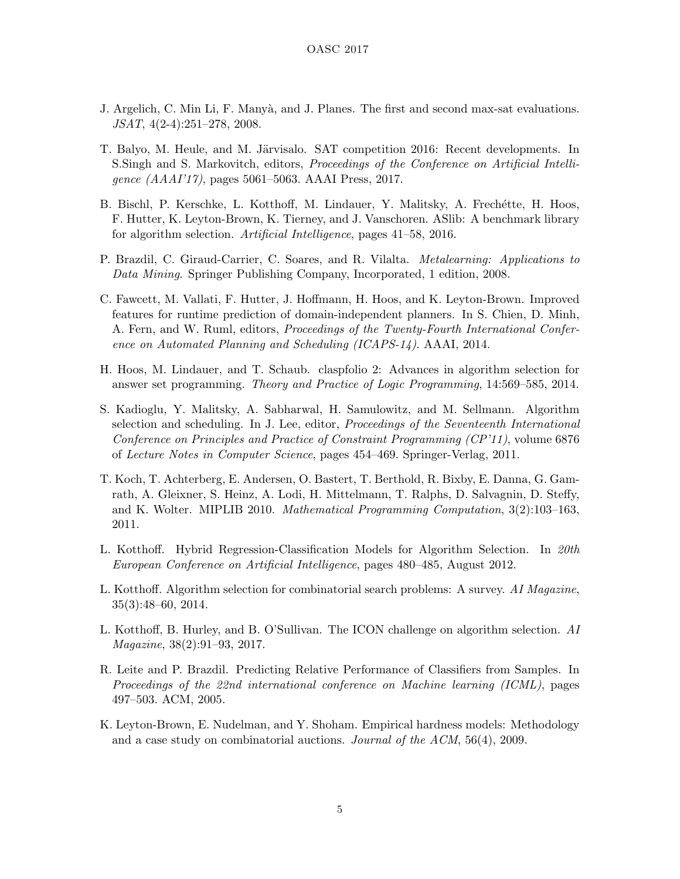- <span id="page-4-9"></span>J. Argelich, C. Min Li, F. Manyà, and J. Planes. The first and second max-sat evaluations. JSAT, 4(2-4):251–278, 2008.
- <span id="page-4-11"></span>T. Balyo, M. Heule, and M. Järvisalo. SAT competition 2016: Recent developments. In S.Singh and S. Markovitch, editors, Proceedings of the Conference on Artificial Intelligence (AAAI'17), pages 5061–5063. AAAI Press, 2017.
- <span id="page-4-7"></span>B. Bischl, P. Kerschke, L. Kotthoff, M. Lindauer, Y. Malitsky, A. Frechétte, H. Hoos, F. Hutter, K. Leyton-Brown, K. Tierney, and J. Vanschoren. ASlib: A benchmark library for algorithm selection. Artificial Intelligence, pages 41–58, 2016.
- <span id="page-4-0"></span>P. Brazdil, C. Giraud-Carrier, C. Soares, and R. Vilalta. Metalearning: Applications to Data Mining. Springer Publishing Company, Incorporated, 1 edition, 2008.
- <span id="page-4-2"></span>C. Fawcett, M. Vallati, F. Hutter, J. Hoffmann, H. Hoos, and K. Leyton-Brown. Improved features for runtime prediction of domain-independent planners. In S. Chien, D. Minh, A. Fern, and W. Ruml, editors, Proceedings of the Twenty-Fourth International Conference on Automated Planning and Scheduling (ICAPS-14). AAAI, 2014.
- <span id="page-4-1"></span>H. Hoos, M. Lindauer, and T. Schaub. claspfolio 2: Advances in algorithm selection for answer set programming. Theory and Practice of Logic Programming, 14:569–585, 2014.
- <span id="page-4-4"></span>S. Kadioglu, Y. Malitsky, A. Sabharwal, H. Samulowitz, and M. Sellmann. Algorithm selection and scheduling. In J. Lee, editor, Proceedings of the Seventeenth International Conference on Principles and Practice of Constraint Programming (CP'11), volume 6876 of Lecture Notes in Computer Science, pages 454–469. Springer-Verlag, 2011.
- <span id="page-4-10"></span>T. Koch, T. Achterberg, E. Andersen, O. Bastert, T. Berthold, R. Bixby, E. Danna, G. Gamrath, A. Gleixner, S. Heinz, A. Lodi, H. Mittelmann, T. Ralphs, D. Salvagnin, D. Steffy, and K. Wolter. MIPLIB 2010. Mathematical Programming Computation, 3(2):103–163, 2011.
- <span id="page-4-5"></span>L. Kotthoff. Hybrid Regression-Classification Models for Algorithm Selection. In 20th European Conference on Artificial Intelligence, pages 480–485, August 2012.
- <span id="page-4-6"></span>L. Kotthoff. Algorithm selection for combinatorial search problems: A survey. AI Magazine, 35(3):48–60, 2014.
- <span id="page-4-8"></span>L. Kotthoff, B. Hurley, and B. O'Sullivan. The ICON challenge on algorithm selection. AI Magazine, 38(2):91–93, 2017.
- <span id="page-4-3"></span>R. Leite and P. Brazdil. Predicting Relative Performance of Classifiers from Samples. In Proceedings of the 22nd international conference on Machine learning (ICML), pages 497–503. ACM, 2005.
- <span id="page-4-12"></span>K. Leyton-Brown, E. Nudelman, and Y. Shoham. Empirical hardness models: Methodology and a case study on combinatorial auctions. Journal of the ACM, 56(4), 2009.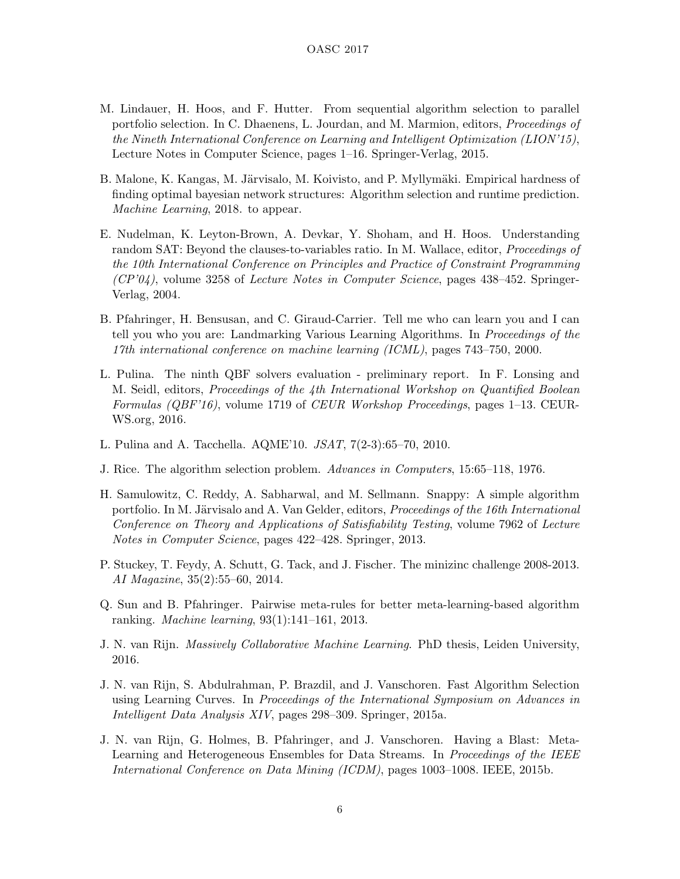- <span id="page-5-2"></span>M. Lindauer, H. Hoos, and F. Hutter. From sequential algorithm selection to parallel portfolio selection. In C. Dhaenens, L. Jourdan, and M. Marmion, editors, Proceedings of the Nineth International Conference on Learning and Intelligent Optimization (LION'15), Lecture Notes in Computer Science, pages 1–16. Springer-Verlag, 2015.
- <span id="page-5-8"></span>B. Malone, K. Kangas, M. Järvisalo, M. Koivisto, and P. Myllymäki. Empirical hardness of finding optimal bayesian network structures: Algorithm selection and runtime prediction. Machine Learning, 2018. to appear.
- <span id="page-5-1"></span>E. Nudelman, K. Leyton-Brown, A. Devkar, Y. Shoham, and H. Hoos. Understanding random SAT: Beyond the clauses-to-variables ratio. In M. Wallace, editor, Proceedings of the 10th International Conference on Principles and Practice of Constraint Programming  $(CP'04)$ , volume 3258 of Lecture Notes in Computer Science, pages 438–452. Springer-Verlag, 2004.
- <span id="page-5-9"></span>B. Pfahringer, H. Bensusan, and C. Giraud-Carrier. Tell me who can learn you and I can tell you who you are: Landmarking Various Learning Algorithms. In Proceedings of the 17th international conference on machine learning (ICML), pages 743–750, 2000.
- <span id="page-5-7"></span>L. Pulina. The ninth QBF solvers evaluation - preliminary report. In F. Lonsing and M. Seidl, editors, Proceedings of the 4th International Workshop on Quantified Boolean Formulas (QBF'16), volume 1719 of CEUR Workshop Proceedings, pages 1–13. CEUR-WS.org, 2016.
- <span id="page-5-12"></span>L. Pulina and A. Tacchella. AQME'10. JSAT, 7(2-3):65–70, 2010.
- <span id="page-5-0"></span>J. Rice. The algorithm selection problem. Advances in Computers, 15:65–118, 1976.
- <span id="page-5-4"></span>H. Samulowitz, C. Reddy, A. Sabharwal, and M. Sellmann. Snappy: A simple algorithm portfolio. In M. Järvisalo and A. Van Gelder, editors, *Proceedings of the 16th International* Conference on Theory and Applications of Satisfiability Testing, volume 7962 of Lecture Notes in Computer Science, pages 422–428. Springer, 2013.
- <span id="page-5-6"></span>P. Stuckey, T. Feydy, A. Schutt, G. Tack, and J. Fischer. The minizinc challenge 2008-2013. AI Magazine, 35(2):55–60, 2014.
- <span id="page-5-10"></span>Q. Sun and B. Pfahringer. Pairwise meta-rules for better meta-learning-based algorithm ranking. Machine learning, 93(1):141–161, 2013.
- <span id="page-5-11"></span>J. N. van Rijn. Massively Collaborative Machine Learning. PhD thesis, Leiden University, 2016.
- <span id="page-5-3"></span>J. N. van Rijn, S. Abdulrahman, P. Brazdil, and J. Vanschoren. Fast Algorithm Selection using Learning Curves. In Proceedings of the International Symposium on Advances in Intelligent Data Analysis XIV, pages 298–309. Springer, 2015a.
- <span id="page-5-5"></span>J. N. van Rijn, G. Holmes, B. Pfahringer, and J. Vanschoren. Having a Blast: Meta-Learning and Heterogeneous Ensembles for Data Streams. In Proceedings of the IEEE International Conference on Data Mining (ICDM), pages 1003–1008. IEEE, 2015b.